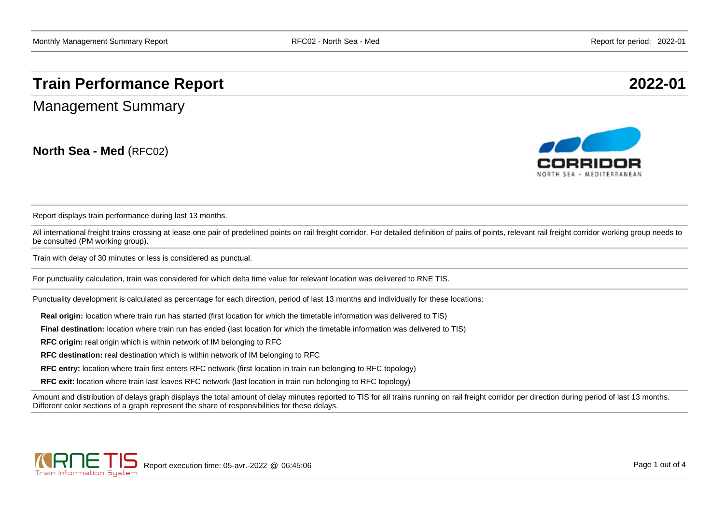# **Train Performance Report 2022-01**

Management Summary

**North Sea - Med** (RFC02)



Report displays train performance during last 13 months.

All international freight trains crossing at lease one pair of predefined points on rail freight corridor. For detailed definition of pairs of points, relevant rail freight corridor working group needs to be consulted (PM working group).

Train with delay of 30 minutes or less is considered as punctual.

For punctuality calculation, train was considered for which delta time value for relevant location was delivered to RNE TIS.

Punctuality development is calculated as percentage for each direction, period of last 13 months and individually for these locations:

**Real origin:** location where train run has started (first location for which the timetable information was delivered to TIS)

**Final destination:** location where train run has ended (last location for which the timetable information was delivered to TIS)

**RFC origin:** real origin which is within network of IM belonging to RFC

**RFC destination:** real destination which is within network of IM belonging to RFC

**RFC entry:** location where train first enters RFC network (first location in train run belonging to RFC topology)

**RFC exit:** location where train last leaves RFC network (last location in train run belonging to RFC topology)

Amount and distribution of delays graph displays the total amount of delay minutes reported to TIS for all trains running on rail freight corridor per direction during period of last 13 months. Different color sections of a graph represent the share of responsibilities for these delays.

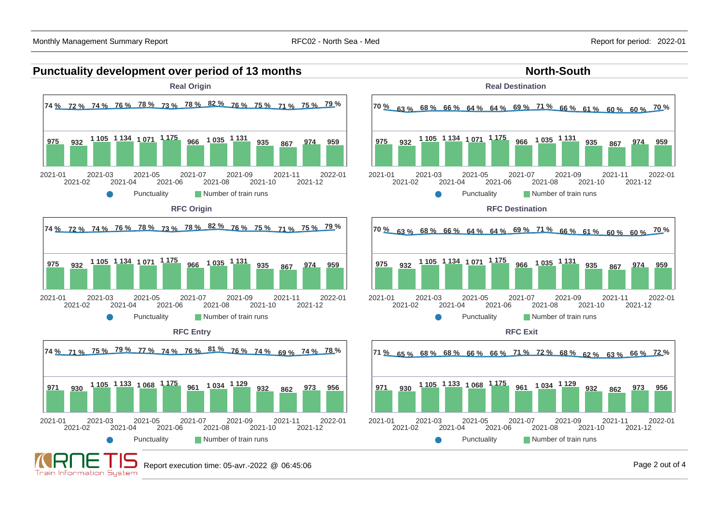#### **Punctuality development over period of 13 months North-South North-South Real Origin Real Destination 74 % 72 % 74 % 76 % 78 % 73 % 78 % 82 % 76 % 75 % 71 % 75 % 79 % 70 % 63 % 68 % 66 % 64 % 64 % 69 % 71 % 66 % 61 % 60 % 60 % 70 % <sup>975</sup> <sup>932</sup> 1 105 1 134 1 071 1 175 <sup>966</sup> 1 035 1 131 <sup>935</sup> <sup>867</sup> <sup>974</sup> <sup>959</sup> <sup>975</sup> <sup>932</sup> 1 105 1 134 1 071 1 175 <sup>966</sup> 1 035 1 131 <sup>935</sup> <sup>867</sup> <sup>974</sup> <sup>959</sup>** 2021-01 2021-03 2021-05 2021-07 2021-09 2021-11 2022-01 2021-01 2021-03 2021-05 2021-07 2021-09 2021-11 2022-01 2021-02 2021-04 2021-06 2021-08 2021-10 2021-12 2021-02 2021-04 2021-06 2021-08 2021-10 2021-12 Punctuality **Number of train runs** Punctuality **Number of train runs RFC Origin RFC Destination 74 % 72 % 74 % 76 % 78 % 73 % 78 % 82 % 76 % 75 % 71 % 75 % 79 % 70 % 63 % 68 % 66 % 64 % 64 % 69 % 71 % 66 % 61 % 60 % 60 % 70 % <sup>975</sup> <sup>932</sup> 1 105 1 134 1 071 1 175 <sup>966</sup> 1 035 1 131 <sup>935</sup> <sup>867</sup> <sup>974</sup> <sup>959</sup> <sup>975</sup> <sup>932</sup> 1 105 1 134 1 071 1 175 <sup>966</sup> 1 035 1 131 <sup>935</sup> <sup>867</sup> <sup>974</sup> <sup>959</sup>** 2021-01 2021-03 2021-05 2021-07 2021-09 2021-11 2022-01 2021-01 2021-03 2021-05 2021-07 2021-09 2021-11 2022-01 2021-02 2021-04 2021-06 2021-08 2021-10 2021-02 2021-04 2021-06 2021-08 2021-12 2021-10 2021-12 Punctuality **Number of train runs** Punctuality **Number of train runs RFC Entry RFC Exit74 % 71 % 75 % 79 % 77 % 74 % 76 % 81 % 76 % 74 % 69 % 74 % 78 % 71 % 65 % 68 % 68 % 66 % 66 % 71 % 72 % 68 % 62 % 63 % 66 % 72 % <sup>971</sup> <sup>930</sup> 1 105 1 133 1 068 1 175 <sup>961</sup> 1 034 1 129 <sup>932</sup> <sup>862</sup> <sup>973</sup> <sup>956</sup> <sup>971</sup> <sup>930</sup> 1 105 1 133 1 068 1 175 <sup>961</sup> 1 034 1 129 <sup>932</sup> <sup>862</sup> <sup>973</sup> <sup>956</sup>** 2022-01 2021-01 2021-03 2021-05 2021-07 2021-09 2021-11 2022-01 2021-01 2021-03 2021-05 2021-07 2021-09 2021-11 2021-02 2021-04 2021-06 2021-08 2021-02 2021-08 2021-10 2021-12 2021-04 2021-06 2021-10 2021-12 Punctuality **Number of train runs** Punctuality **Number of train runs** Report execution time: 05-avr.-2022 @ 06:45:06 Page 2 out of 4 Train Information System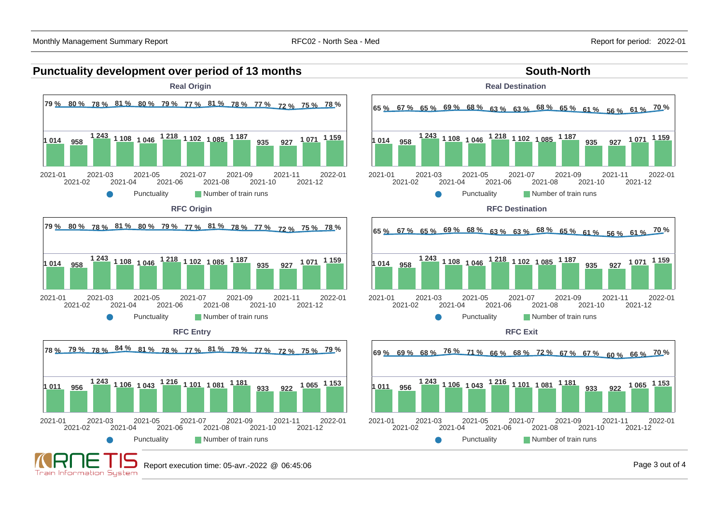#### **Punctuality development over period of 13 months South-North South-North**





**Real Destination**





**RFC Exit**



**Train Information System** 

2021-03

2021-04

2021-05

2021-06

**1 243 1 106 1 043 1 216 1 101 1 081 1 181**

2021-07

Punctuality **Number of train runs** 

2021-08

2021-09

2021-10

2021-11

2021-12

**<sup>933</sup> <sup>922</sup> 1 065 1 153**

2022-01

2021-02

2021-01

**1 011 956**